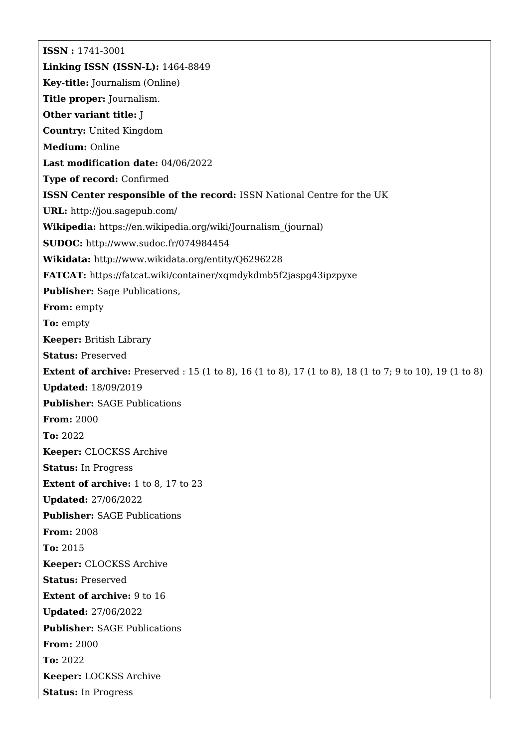**ISSN :** 1741-3001 **Linking ISSN (ISSN-L):** 1464-8849 **Key-title:** Journalism (Online) **Title proper:** Journalism. **Other variant title:** J **Country:** United Kingdom **Medium:** Online **Last modification date:** 04/06/2022 **Type of record:** Confirmed **ISSN Center responsible of the record:** ISSN National Centre for the UK **URL:** <http://jou.sagepub.com/> **Wikipedia:** [https://en.wikipedia.org/wiki/Journalism\\_\(journal\)](https://en.wikipedia.org/wiki/Journalism_(journal)) **SUDOC:** <http://www.sudoc.fr/074984454> **Wikidata:** <http://www.wikidata.org/entity/Q6296228> **FATCAT:** <https://fatcat.wiki/container/xqmdykdmb5f2jaspg43ipzpyxe> **Publisher:** Sage Publications, **From:** empty **To:** empty **Keeper:** British Library **Status:** Preserved **Extent of archive:** Preserved : 15 (1 to 8), 16 (1 to 8), 17 (1 to 8), 18 (1 to 7; 9 to 10), 19 (1 to 8) **Updated:** 18/09/2019 **Publisher:** SAGE Publications **From:** 2000 **To:** 2022 **Keeper:** CLOCKSS Archive **Status:** In Progress **Extent of archive:** 1 to 8, 17 to 23 **Updated:** 27/06/2022 **Publisher:** SAGE Publications **From:** 2008 **To:** 2015 **Keeper:** CLOCKSS Archive **Status:** Preserved **Extent of archive:** 9 to 16 **Updated:** 27/06/2022 **Publisher:** SAGE Publications **From:** 2000 **To:** 2022 **Keeper:** LOCKSS Archive **Status:** In Progress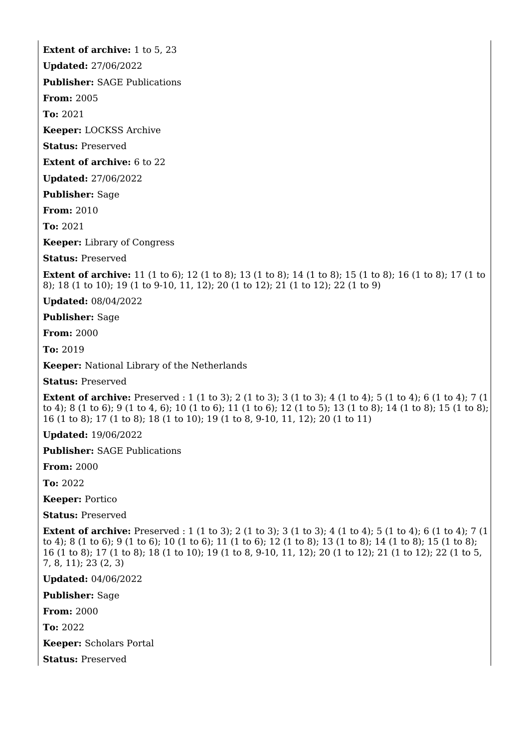**Extent of archive:** 1 to 5, 23

**Updated:** 27/06/2022

**Publisher:** SAGE Publications

**From:** 2005

**To:** 2021

**Keeper:** LOCKSS Archive

**Status:** Preserved

**Extent of archive:** 6 to 22

**Updated:** 27/06/2022

**Publisher:** Sage

**From:** 2010

**To:** 2021

**Keeper:** Library of Congress

**Status:** Preserved

**Extent of archive:** 11 (1 to 6); 12 (1 to 8); 13 (1 to 8); 14 (1 to 8); 15 (1 to 8); 16 (1 to 8); 17 (1 to 8); 18 (1 to 10); 19 (1 to 9-10, 11, 12); 20 (1 to 12); 21 (1 to 12); 22 (1 to 9)

**Updated:** 08/04/2022

**Publisher:** Sage

**From:** 2000

**To:** 2019

**Keeper:** National Library of the Netherlands

**Status:** Preserved

**Extent of archive:** Preserved : 1 (1 to 3); 2 (1 to 3); 3 (1 to 3); 4 (1 to 4); 5 (1 to 4); 6 (1 to 4); 7 (1 to 4); 8 (1 to 6); 9 (1 to 4, 6); 10 (1 to 6); 11 (1 to 6); 12 (1 to 5); 13 (1 to 8); 14 (1 to 8); 15 (1 to 8); 16 (1 to 8); 17 (1 to 8); 18 (1 to 10); 19 (1 to 8, 9-10, 11, 12); 20 (1 to 11)

**Updated:** 19/06/2022

**Publisher:** SAGE Publications

**From:** 2000

**To:** 2022

**Keeper:** Portico

**Status:** Preserved

**Extent of archive:** Preserved : 1 (1 to 3); 2 (1 to 3); 3 (1 to 3); 4 (1 to 4); 5 (1 to 4); 6 (1 to 4); 7 (1 to 4); 8 (1 to 6); 9 (1 to 6); 10 (1 to 6); 11 (1 to 6); 12 (1 to 8); 13 (1 to 8); 14 (1 to 8); 15 (1 to 8); 16 (1 to 8); 17 (1 to 8); 18 (1 to 10); 19 (1 to 8, 9-10, 11, 12); 20 (1 to 12); 21 (1 to 12); 22 (1 to 5, 7, 8, 11); 23 (2, 3)

**Updated:** 04/06/2022

**Publisher:** Sage

**From:** 2000

**To:** 2022

**Keeper:** Scholars Portal

**Status:** Preserved